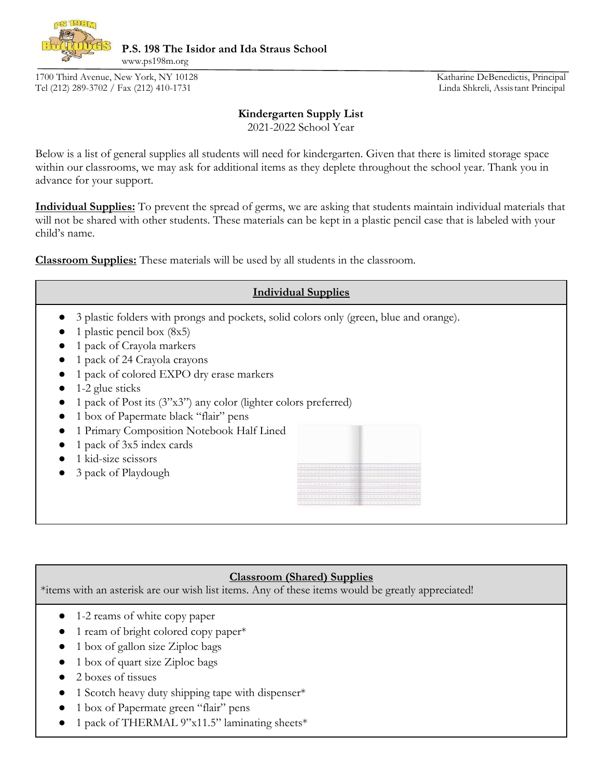

**P.S. 198 The Isidor and Ida Straus School** 

1700 Third Avenue, New York, NY 10128 Katharine DeBenedictis, Principal Tel (212) 289-3702 / Fax (212) 410-1731 Linda Shkreli, Assistant Principal

www.ps198m.org

## **Kindergarten Supply List**

2021-2022 School Year

Below is a list of general supplies all students will need for kindergarten. Given that there is limited storage space within our classrooms, we may ask for additional items as they deplete throughout the school year. Thank you in advance for your support.

**Individual Supplies:** To prevent the spread of germs, we are asking that students maintain individual materials that will not be shared with other students. These materials can be kept in a plastic pencil case that is labeled with your child's name.

**Classroom Supplies:** These materials will be used by all students in the classroom.



## **Classroom (Shared) Supplies**

\*items with an asterisk are our wish list items. Any of these items would be greatly appreciated!

- 1-2 reams of white copy paper
- 1 ream of bright colored copy paper\*
- 1 box of gallon size Ziploc bags
- 1 box of quart size Ziploc bags
- 2 boxes of tissues
- 1 Scotch heavy duty shipping tape with dispenser\*
- 1 box of Papermate green "flair" pens
- 1 pack of THERMAL 9"x11.5" laminating sheets\*